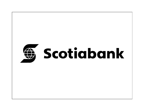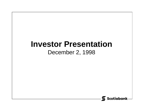# **Investor Presentation**

#### December 2, 1998

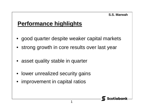#### **S.S. Marwah**

#### **Performance highlights**

• good quarter despite weaker capital markets

1

- strong growth in core results over last year
- asset quality stable in quarter
- lower unrealized security gains
- improvement in capital ratios

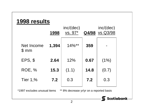#### **1998 results**

|                    | 1998  | inc/(dec)<br>vs. 97* |      | inc/(dec)<br>Q4/98 vs Q3/98 |
|--------------------|-------|----------------------|------|-----------------------------|
| Net Income<br>\$mm | 1,394 | $14\%$ **            | 359  |                             |
| $EPS,$ \$          | 2.64  | 12%                  | 0.67 | $(1\%)$                     |
| <b>ROE, %</b>      | 15.3  | (1.1)                | 14.8 | (0.7)                       |
| <b>Tier 1,%</b>    | 7.2   | 0.3                  | 7.2  | 0.3                         |

\*1997 excludes unusual items \*\* 8% decrease yr/yr on a reported basis

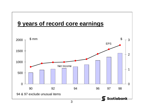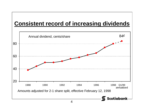### **Consistent record of increasing dividends**

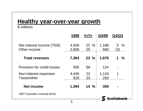#### **Healthy year-over-year growth**

#### \$ millions

|                                           | 1998           | Yr/Yr        | Q4/98        | Q4/Q3                 |
|-------------------------------------------|----------------|--------------|--------------|-----------------------|
| Net interest income (TEB)<br>Other income | 4,506<br>2,858 | $22\%$<br>25 | 1,186<br>690 | $3 \frac{9}{6}$<br>3) |
| <b>Total revenues</b>                     | 7,364          | $23 \%$      | 1,876        | 1<br>$\frac{0}{0}$    |
| <b>Provision for credit losses</b>        | 595            | 68           | 124          |                       |
| Non-interest expenses<br>Taxes/other      | 4,446<br>929   | 22<br>23     | 1,143<br>250 |                       |
| <b>Net income</b>                         | 1,394          | $14\%$       | 359          |                       |
| 1997 excludes unusual items               |                |              |              | Scotiabank            |
|                                           |                |              |              |                       |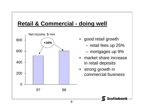# **Retail & Commercial - doing well**



- good retail growth
	- –retail fees up 25%
	- –mortgages up 9%
- • market share increase in retail deposits
- $\bullet$  strong growth in commercial business

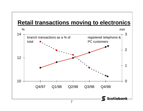### **Retail transactions moving to electronics**

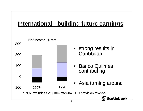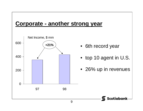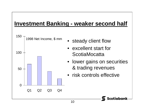### **Investment Banking - weaker second half**

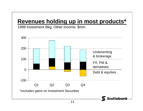# **Revenues holding up in most products\***

1998 Investment Bkg, Other Income, \$mm

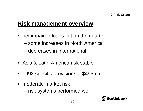#### **J.F.M. Crean**

**Scotiabank** 

# **Risk management overview**

- net impaired loans flat on the quarter
	- some increases in North America
	- decreases in International
- Asia & Latin America risk stable
- 1998 specific provisions = \$495mm
- moderate market risk–risk systems performed well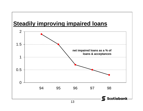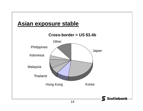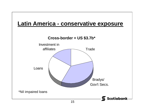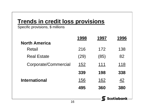### **Trends in credit loss provisions**

Specific provisions, \$ millions

|                      | 1998 | 1997 | 1996        |
|----------------------|------|------|-------------|
| <b>North America</b> |      |      |             |
| Retail               | 216  | 172  | 138         |
| <b>Real Estate</b>   | (29) | (85) | 82          |
| Corporate/Commercial | 152  | 111  | 118         |
|                      | 339  | 198  | 338         |
| <b>International</b> | 156  | 162  | <u>42</u>   |
|                      | 495  | 360  | 380         |
|                      |      | 1    | Scotiabank- |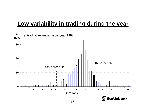

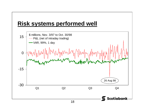

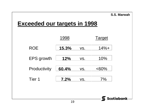|                                     |     |               | S.S. Marwah |  |  |  |  |  |
|-------------------------------------|-----|---------------|-------------|--|--|--|--|--|
| <b>Exceeded our targets in 1998</b> |     |               |             |  |  |  |  |  |
|                                     |     |               |             |  |  |  |  |  |
| 1998                                |     | <b>Target</b> |             |  |  |  |  |  |
| 15.3%                               | VS. | $14% +$       |             |  |  |  |  |  |
| 12%                                 | VS. | 10%           |             |  |  |  |  |  |
| 60.4%                               | VS. | $&50\%$       |             |  |  |  |  |  |
| 7.2%                                | VS. | 7%            |             |  |  |  |  |  |
|                                     |     |               |             |  |  |  |  |  |
|                                     |     |               | Scotiabank  |  |  |  |  |  |
|                                     | 19  |               |             |  |  |  |  |  |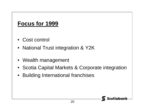#### **Focus for 1999**

- Cost control
- National Trust integration & Y2K
- Wealth management
- Scotia Capital Markets & Corporate integration
- $\bullet$ Building International franchises